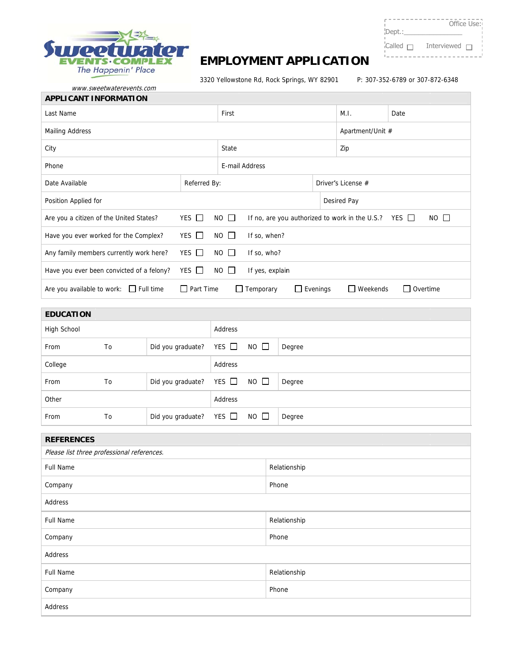

www.sw weetwaterevents. com

## **EMPLOYMENT APPLICATION**

3320 Yellowstone Rd, Rock Springs, WY 8290

01 P: 307-3 52-6789 or 307- 872-6348

 $- - - - -$ 

 $\Gamma = \Gamma$ 

Dept.:\_\_\_\_\_\_ Dept.:\_\_\_\_\_\_\_\_\_\_\_\_\_\_\_\_  $C$ alled  $\Box$  Interviewed  $\Box$ 

 $---$ 

Office Use: Office Use:

 $\overline{\phantom{a}}$ 

| <b>APPLICANT INFORMATION</b>              |                  |             |                                                           |                    |             |                    |  |  |
|-------------------------------------------|------------------|-------------|-----------------------------------------------------------|--------------------|-------------|--------------------|--|--|
| Last Name                                 |                  |             |                                                           |                    | M.I.        | Date               |  |  |
| <b>Mailing Address</b>                    |                  |             |                                                           | Apartment/Unit #   |             |                    |  |  |
| City                                      |                  |             |                                                           |                    | Zip         |                    |  |  |
| Phone                                     |                  |             | E-mail Address                                            |                    |             |                    |  |  |
| Date Available                            | Referred By:     |             |                                                           | Driver's License # |             |                    |  |  |
| Position Applied for                      |                  |             |                                                           |                    | Desired Pay |                    |  |  |
| Are you a citizen of the United States?   | YES $\Box$       | $NO$ $\Box$ | If no, are you authorized to work in the U.S.? YES $\Box$ |                    |             | $NO$ $\Box$        |  |  |
| Have you ever worked for the Complex?     | YES $\Box$       | $NO$ $\Box$ | If so, when?                                              |                    |             |                    |  |  |
| Any family members currently work here?   | YES $\Box$       | $NO$ $\Box$ | If so, who?                                               |                    |             |                    |  |  |
| Have you ever been convicted of a felony? | YES $\Box$       | $NO$ $\Box$ | If yes, explain                                           |                    |             |                    |  |  |
| Are you available to work: Full time      | $\Box$ Part Time |             | $\Box$ Temporary                                          | $\Box$ Evenings    | Weekends    | Overtime<br>$\Box$ |  |  |

| <b>EDUCATION</b> |                |                              |         |             |        |
|------------------|----------------|------------------------------|---------|-------------|--------|
| High School      |                |                              | Address |             |        |
| From             | To             | Did you graduate? YES □ NO □ |         |             | Degree |
| College          |                |                              | Address |             |        |
| From             | T <sub>o</sub> | Did you graduate? YES $\Box$ |         | $NO$ $\Box$ | Degree |
| Other            |                | Address                      |         |             |        |
| From             | To             | Did you graduate? YES $\Box$ |         | $NO$ $\Box$ | Degree |

| <b>REFERENCES</b>                          |              |  |  |  |  |
|--------------------------------------------|--------------|--|--|--|--|
| Please list three professional references. |              |  |  |  |  |
| <b>Full Name</b>                           | Relationship |  |  |  |  |
| Company                                    | Phone        |  |  |  |  |
| Address                                    |              |  |  |  |  |
| Full Name                                  | Relationship |  |  |  |  |
| Company                                    | Phone        |  |  |  |  |
| Address                                    |              |  |  |  |  |
| <b>Full Name</b>                           | Relationship |  |  |  |  |
| Company                                    | Phone        |  |  |  |  |
| Address                                    |              |  |  |  |  |